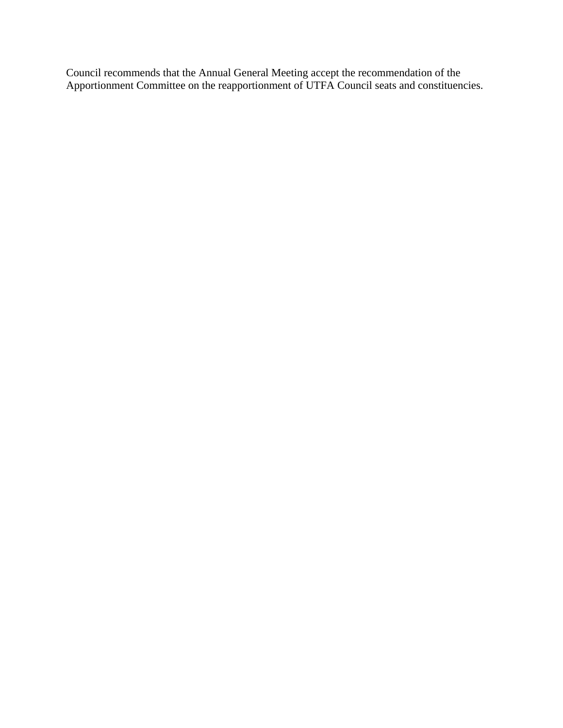Council recommends that the Annual General Meeting accept the recommendation of the Apportionment Committee on the reapportionment of UTFA Council seats and constituencies.